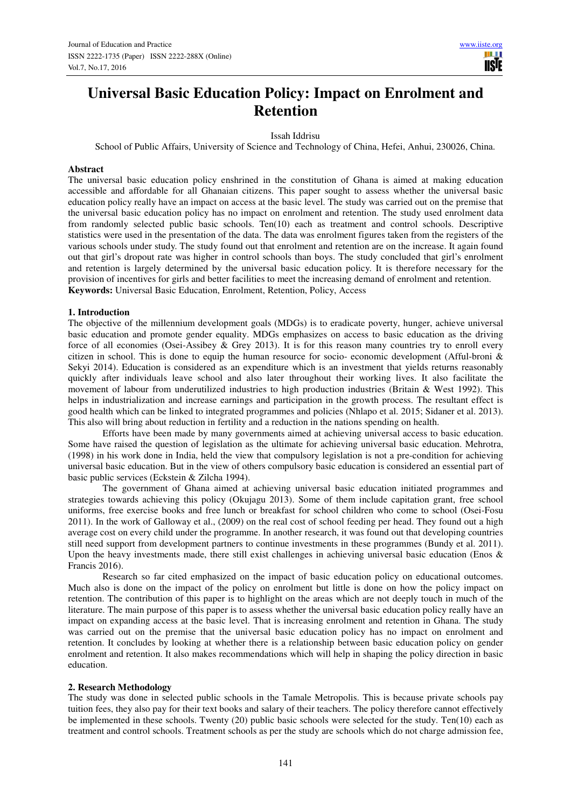# **Universal Basic Education Policy: Impact on Enrolment and Retention**

Issah Iddrisu

School of Public Affairs, University of Science and Technology of China, Hefei, Anhui, 230026, China.

#### **Abstract**

The universal basic education policy enshrined in the constitution of Ghana is aimed at making education accessible and affordable for all Ghanaian citizens. This paper sought to assess whether the universal basic education policy really have an impact on access at the basic level. The study was carried out on the premise that the universal basic education policy has no impact on enrolment and retention. The study used enrolment data from randomly selected public basic schools. Ten(10) each as treatment and control schools. Descriptive statistics were used in the presentation of the data. The data was enrolment figures taken from the registers of the various schools under study. The study found out that enrolment and retention are on the increase. It again found out that girl's dropout rate was higher in control schools than boys. The study concluded that girl's enrolment and retention is largely determined by the universal basic education policy. It is therefore necessary for the provision of incentives for girls and better facilities to meet the increasing demand of enrolment and retention. **Keywords:** Universal Basic Education, Enrolment, Retention, Policy, Access

## **1. Introduction**

The objective of the millennium development goals (MDGs) is to eradicate poverty, hunger, achieve universal basic education and promote gender equality. MDGs emphasizes on access to basic education as the driving force of all economies (Osei-Assibey & Grey 2013). It is for this reason many countries try to enroll every citizen in school. This is done to equip the human resource for socio- economic development (Afful-broni & Sekyi 2014). Education is considered as an expenditure which is an investment that yields returns reasonably quickly after individuals leave school and also later throughout their working lives. It also facilitate the movement of labour from underutilized industries to high production industries (Britain & West 1992). This helps in industrialization and increase earnings and participation in the growth process. The resultant effect is good health which can be linked to integrated programmes and policies (Nhlapo et al. 2015; Sidaner et al. 2013). This also will bring about reduction in fertility and a reduction in the nations spending on health.

Efforts have been made by many governments aimed at achieving universal access to basic education. Some have raised the question of legislation as the ultimate for achieving universal basic education. Mehrotra, (1998) in his work done in India, held the view that compulsory legislation is not a pre-condition for achieving universal basic education. But in the view of others compulsory basic education is considered an essential part of basic public services (Eckstein & Zilcha 1994).

The government of Ghana aimed at achieving universal basic education initiated programmes and strategies towards achieving this policy (Okujagu 2013). Some of them include capitation grant, free school uniforms, free exercise books and free lunch or breakfast for school children who come to school (Osei-Fosu 2011). In the work of Galloway et al., (2009) on the real cost of school feeding per head. They found out a high average cost on every child under the programme. In another research, it was found out that developing countries still need support from development partners to continue investments in these programmes (Bundy et al. 2011). Upon the heavy investments made, there still exist challenges in achieving universal basic education (Enos & Francis 2016).

Research so far cited emphasized on the impact of basic education policy on educational outcomes. Much also is done on the impact of the policy on enrolment but little is done on how the policy impact on retention. The contribution of this paper is to highlight on the areas which are not deeply touch in much of the literature. The main purpose of this paper is to assess whether the universal basic education policy really have an impact on expanding access at the basic level. That is increasing enrolment and retention in Ghana. The study was carried out on the premise that the universal basic education policy has no impact on enrolment and retention. It concludes by looking at whether there is a relationship between basic education policy on gender enrolment and retention. It also makes recommendations which will help in shaping the policy direction in basic education.

#### **2. Research Methodology**

The study was done in selected public schools in the Tamale Metropolis. This is because private schools pay tuition fees, they also pay for their text books and salary of their teachers. The policy therefore cannot effectively be implemented in these schools. Twenty (20) public basic schools were selected for the study. Ten(10) each as treatment and control schools. Treatment schools as per the study are schools which do not charge admission fee,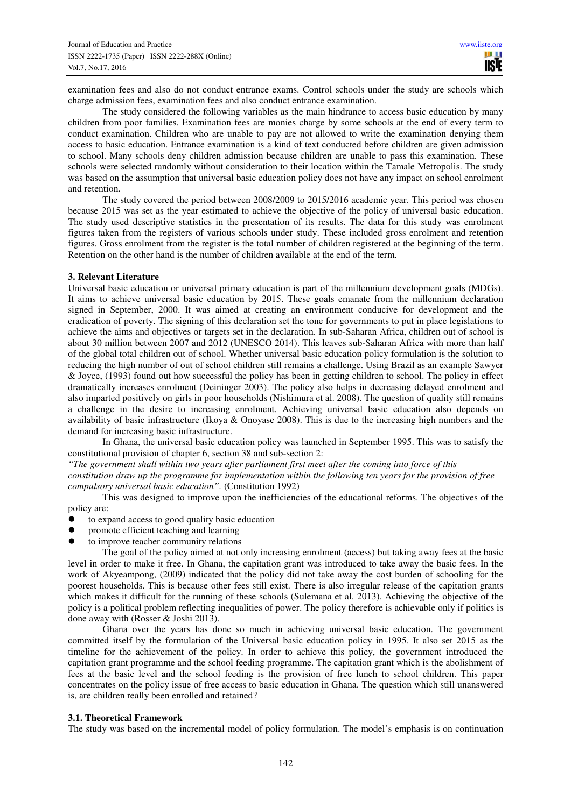examination fees and also do not conduct entrance exams. Control schools under the study are schools which charge admission fees, examination fees and also conduct entrance examination.

The study considered the following variables as the main hindrance to access basic education by many children from poor families. Examination fees are monies charge by some schools at the end of every term to conduct examination. Children who are unable to pay are not allowed to write the examination denying them access to basic education. Entrance examination is a kind of text conducted before children are given admission to school. Many schools deny children admission because children are unable to pass this examination. These schools were selected randomly without consideration to their location within the Tamale Metropolis. The study was based on the assumption that universal basic education policy does not have any impact on school enrolment and retention.

The study covered the period between 2008/2009 to 2015/2016 academic year. This period was chosen because 2015 was set as the year estimated to achieve the objective of the policy of universal basic education. The study used descriptive statistics in the presentation of its results. The data for this study was enrolment figures taken from the registers of various schools under study. These included gross enrolment and retention figures. Gross enrolment from the register is the total number of children registered at the beginning of the term. Retention on the other hand is the number of children available at the end of the term.

## **3. Relevant Literature**

Universal basic education or universal primary education is part of the millennium development goals (MDGs). It aims to achieve universal basic education by 2015. These goals emanate from the millennium declaration signed in September, 2000. It was aimed at creating an environment conducive for development and the eradication of poverty. The signing of this declaration set the tone for governments to put in place legislations to achieve the aims and objectives or targets set in the declaration. In sub-Saharan Africa, children out of school is about 30 million between 2007 and 2012 (UNESCO 2014). This leaves sub-Saharan Africa with more than half of the global total children out of school. Whether universal basic education policy formulation is the solution to reducing the high number of out of school children still remains a challenge. Using Brazil as an example Sawyer & Joyce, (1993) found out how successful the policy has been in getting children to school. The policy in effect dramatically increases enrolment (Deininger 2003). The policy also helps in decreasing delayed enrolment and also imparted positively on girls in poor households (Nishimura et al. 2008). The question of quality still remains a challenge in the desire to increasing enrolment. Achieving universal basic education also depends on availability of basic infrastructure (Ikoya & Onoyase 2008). This is due to the increasing high numbers and the demand for increasing basic infrastructure.

In Ghana, the universal basic education policy was launched in September 1995. This was to satisfy the constitutional provision of chapter 6, section 38 and sub-section 2:

*"The government shall within two years after parliament first meet after the coming into force of this*

*constitution draw up the programme for implementation within the following ten years for the provision of free compulsory universal basic education".* (Constitution 1992)

This was designed to improve upon the inefficiencies of the educational reforms. The objectives of the policy are:

- to expand access to good quality basic education
- promote efficient teaching and learning
- to improve teacher community relations

The goal of the policy aimed at not only increasing enrolment (access) but taking away fees at the basic level in order to make it free. In Ghana, the capitation grant was introduced to take away the basic fees. In the work of Akyeampong, (2009) indicated that the policy did not take away the cost burden of schooling for the poorest households. This is because other fees still exist. There is also irregular release of the capitation grants which makes it difficult for the running of these schools (Sulemana et al. 2013). Achieving the objective of the policy is a political problem reflecting inequalities of power. The policy therefore is achievable only if politics is done away with (Rosser & Joshi 2013).

Ghana over the years has done so much in achieving universal basic education. The government committed itself by the formulation of the Universal basic education policy in 1995. It also set 2015 as the timeline for the achievement of the policy. In order to achieve this policy, the government introduced the capitation grant programme and the school feeding programme. The capitation grant which is the abolishment of fees at the basic level and the school feeding is the provision of free lunch to school children. This paper concentrates on the policy issue of free access to basic education in Ghana. The question which still unanswered is, are children really been enrolled and retained?

#### **3.1. Theoretical Framework**

The study was based on the incremental model of policy formulation. The model's emphasis is on continuation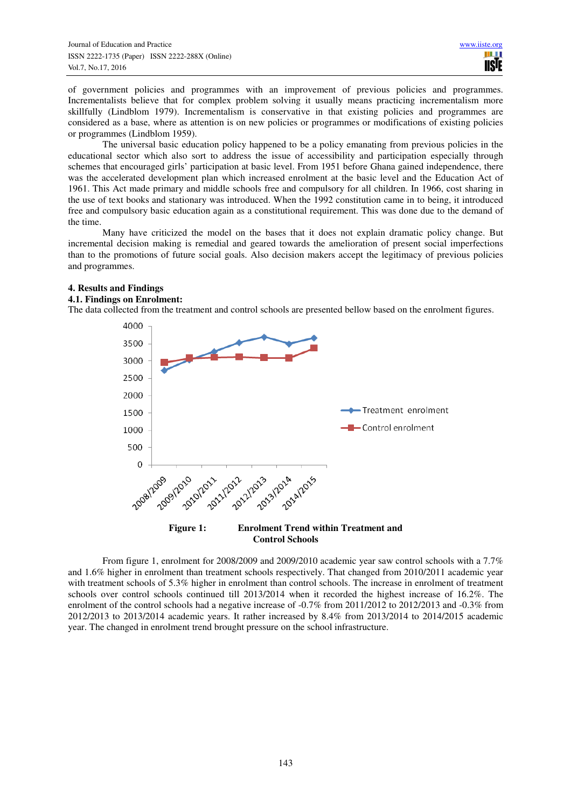of government policies and programmes with an improvement of previous policies and programmes. Incrementalists believe that for complex problem solving it usually means practicing incrementalism more skillfully (Lindblom 1979). Incrementalism is conservative in that existing policies and programmes are considered as a base, where as attention is on new policies or programmes or modifications of existing policies or programmes (Lindblom 1959).

The universal basic education policy happened to be a policy emanating from previous policies in the educational sector which also sort to address the issue of accessibility and participation especially through schemes that encouraged girls' participation at basic level. From 1951 before Ghana gained independence, there was the accelerated development plan which increased enrolment at the basic level and the Education Act of 1961. This Act made primary and middle schools free and compulsory for all children. In 1966, cost sharing in the use of text books and stationary was introduced. When the 1992 constitution came in to being, it introduced free and compulsory basic education again as a constitutional requirement. This was done due to the demand of the time.

Many have criticized the model on the bases that it does not explain dramatic policy change. But incremental decision making is remedial and geared towards the amelioration of present social imperfections than to the promotions of future social goals. Also decision makers accept the legitimacy of previous policies and programmes.

# **4. Results and Findings**

#### **4.1. Findings on Enrolment:**

The data collected from the treatment and control schools are presented bellow based on the enrolment figures.



From figure 1, enrolment for 2008/2009 and 2009/2010 academic year saw control schools with a 7.7% and 1.6% higher in enrolment than treatment schools respectively. That changed from 2010/2011 academic year with treatment schools of 5.3% higher in enrolment than control schools. The increase in enrolment of treatment schools over control schools continued till 2013/2014 when it recorded the highest increase of 16.2%. The enrolment of the control schools had a negative increase of -0.7% from 2011/2012 to 2012/2013 and -0.3% from 2012/2013 to 2013/2014 academic years. It rather increased by 8.4% from 2013/2014 to 2014/2015 academic year. The changed in enrolment trend brought pressure on the school infrastructure.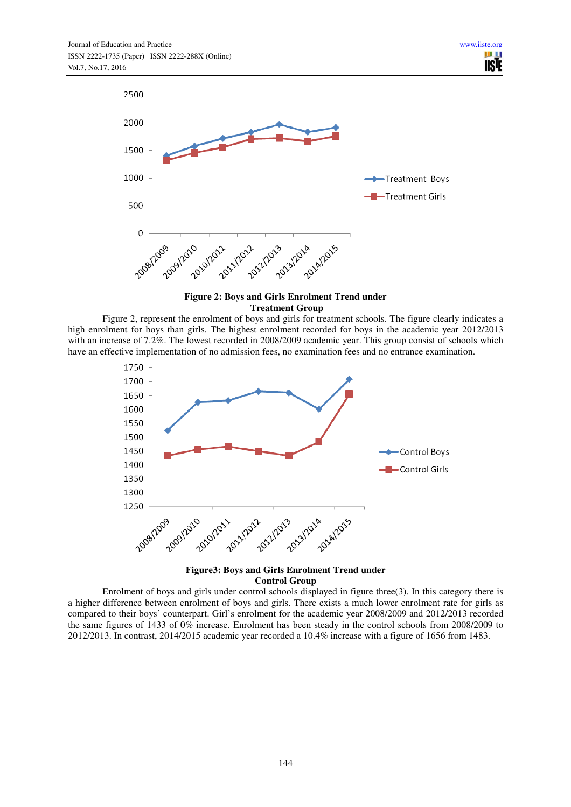

# **Figure 2: Boys and Girls Enrolment Trend under Treatment Group**

Figure 2, represent the enrolment of boys and girls for treatment schools. The figure clearly indicates a high enrolment for boys than girls. The highest enrolment recorded for boys in the academic year 2012/2013 with an increase of 7.2%. The lowest recorded in 2008/2009 academic year. This group consist of schools which have an effective implementation of no admission fees, no examination fees and no entrance examination.



**Figure3: Boys and Girls Enrolment Trend under Control Group** 

Enrolment of boys and girls under control schools displayed in figure three(3). In this category there is a higher difference between enrolment of boys and girls. There exists a much lower enrolment rate for girls as compared to their boys' counterpart. Girl's enrolment for the academic year 2008/2009 and 2012/2013 recorded the same figures of 1433 of 0% increase. Enrolment has been steady in the control schools from 2008/2009 to 2012/2013. In contrast, 2014/2015 academic year recorded a 10.4% increase with a figure of 1656 from 1483.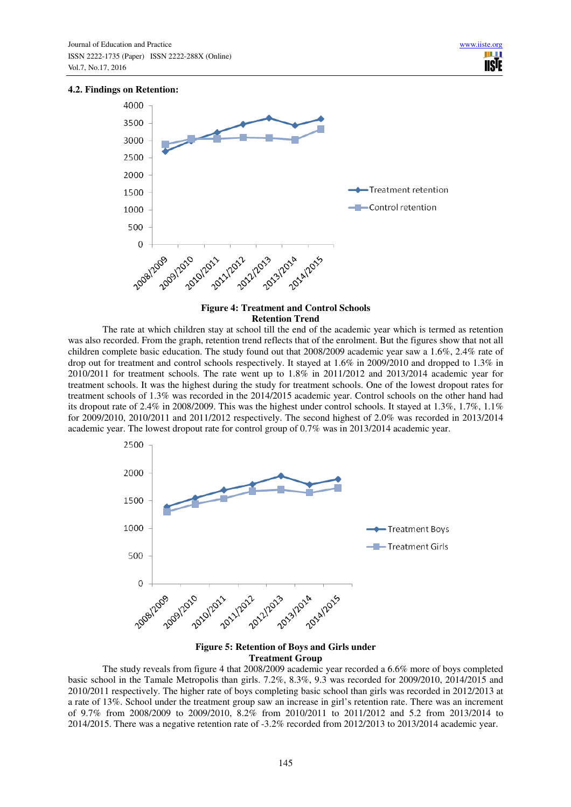#### **4.2. Findings on Retention:**



## **Figure 4: Treatment and Control Schools Retention Trend**

The rate at which children stay at school till the end of the academic year which is termed as retention was also recorded. From the graph, retention trend reflects that of the enrolment. But the figures show that not all children complete basic education. The study found out that 2008/2009 academic year saw a 1.6%, 2.4% rate of drop out for treatment and control schools respectively. It stayed at 1.6% in 2009/2010 and dropped to 1.3% in 2010/2011 for treatment schools. The rate went up to 1.8% in 2011/2012 and 2013/2014 academic year for treatment schools. It was the highest during the study for treatment schools. One of the lowest dropout rates for treatment schools of 1.3% was recorded in the 2014/2015 academic year. Control schools on the other hand had its dropout rate of 2.4% in 2008/2009. This was the highest under control schools. It stayed at 1.3%, 1.7%, 1.1% for 2009/2010, 2010/2011 and 2011/2012 respectively. The second highest of 2.0% was recorded in 2013/2014 academic year. The lowest dropout rate for control group of 0.7% was in 2013/2014 academic year.



## **Figure 5: Retention of Boys and Girls under Treatment Group**

The study reveals from figure 4 that 2008/2009 academic year recorded a 6.6% more of boys completed basic school in the Tamale Metropolis than girls. 7.2%, 8.3%, 9.3 was recorded for 2009/2010, 2014/2015 and 2010/2011 respectively. The higher rate of boys completing basic school than girls was recorded in 2012/2013 at a rate of 13%. School under the treatment group saw an increase in girl's retention rate. There was an increment of 9.7% from 2008/2009 to 2009/2010, 8.2% from 2010/2011 to 2011/2012 and 5.2 from 2013/2014 to 2014/2015. There was a negative retention rate of -3.2% recorded from 2012/2013 to 2013/2014 academic year.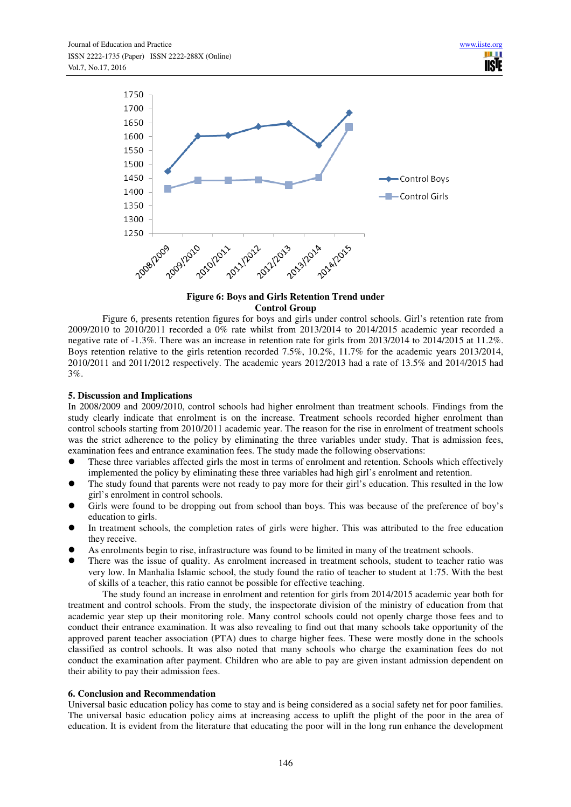

# **Figure 6: Boys and Girls Retention Trend under Control Group**

Figure 6, presents retention figures for boys and girls under control schools. Girl's retention rate from 2009/2010 to 2010/2011 recorded a 0% rate whilst from 2013/2014 to 2014/2015 academic year recorded a negative rate of -1.3%. There was an increase in retention rate for girls from 2013/2014 to 2014/2015 at 11.2%. Boys retention relative to the girls retention recorded 7.5%, 10.2%, 11.7% for the academic years 2013/2014, 2010/2011 and 2011/2012 respectively. The academic years 2012/2013 had a rate of 13.5% and 2014/2015 had 3%.

# **5. Discussion and Implications**

In 2008/2009 and 2009/2010, control schools had higher enrolment than treatment schools. Findings from the study clearly indicate that enrolment is on the increase. Treatment schools recorded higher enrolment than control schools starting from 2010/2011 academic year. The reason for the rise in enrolment of treatment schools was the strict adherence to the policy by eliminating the three variables under study. That is admission fees, examination fees and entrance examination fees. The study made the following observations:

- These three variables affected girls the most in terms of enrolment and retention. Schools which effectively implemented the policy by eliminating these three variables had high girl's enrolment and retention.
- The study found that parents were not ready to pay more for their girl's education. This resulted in the low girl's enrolment in control schools.
- Girls were found to be dropping out from school than boys. This was because of the preference of boy's education to girls.
- In treatment schools, the completion rates of girls were higher. This was attributed to the free education they receive.
- As enrolments begin to rise, infrastructure was found to be limited in many of the treatment schools.
- There was the issue of quality. As enrolment increased in treatment schools, student to teacher ratio was very low. In Manhalia Islamic school, the study found the ratio of teacher to student at 1:75. With the best of skills of a teacher, this ratio cannot be possible for effective teaching.

The study found an increase in enrolment and retention for girls from 2014/2015 academic year both for treatment and control schools. From the study, the inspectorate division of the ministry of education from that academic year step up their monitoring role. Many control schools could not openly charge those fees and to conduct their entrance examination. It was also revealing to find out that many schools take opportunity of the approved parent teacher association (PTA) dues to charge higher fees. These were mostly done in the schools classified as control schools. It was also noted that many schools who charge the examination fees do not conduct the examination after payment. Children who are able to pay are given instant admission dependent on their ability to pay their admission fees.

# **6. Conclusion and Recommendation**

Universal basic education policy has come to stay and is being considered as a social safety net for poor families. The universal basic education policy aims at increasing access to uplift the plight of the poor in the area of education. It is evident from the literature that educating the poor will in the long run enhance the development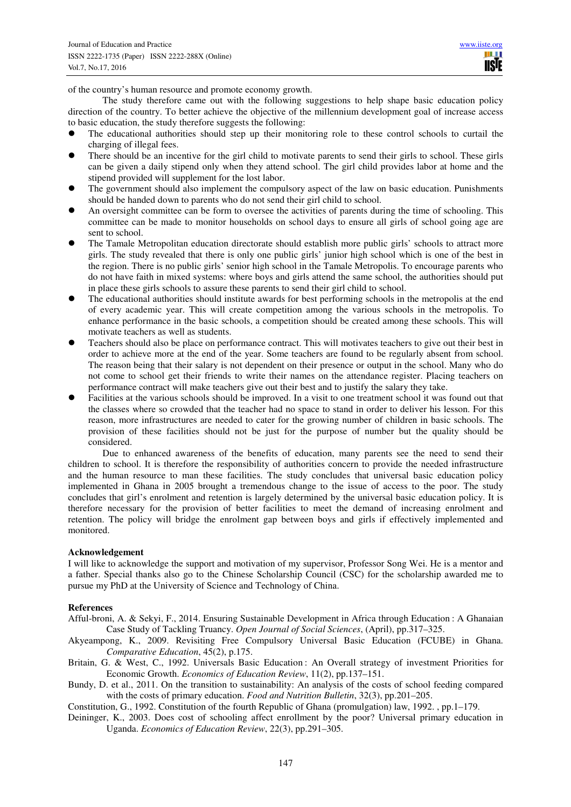**TISIE** 

of the country's human resource and promote economy growth.

The study therefore came out with the following suggestions to help shape basic education policy direction of the country. To better achieve the objective of the millennium development goal of increase access to basic education, the study therefore suggests the following:

- The educational authorities should step up their monitoring role to these control schools to curtail the charging of illegal fees.
- There should be an incentive for the girl child to motivate parents to send their girls to school. These girls can be given a daily stipend only when they attend school. The girl child provides labor at home and the stipend provided will supplement for the lost labor.
- The government should also implement the compulsory aspect of the law on basic education. Punishments should be handed down to parents who do not send their girl child to school.
- An oversight committee can be form to oversee the activities of parents during the time of schooling. This committee can be made to monitor households on school days to ensure all girls of school going age are sent to school.
- The Tamale Metropolitan education directorate should establish more public girls' schools to attract more girls. The study revealed that there is only one public girls' junior high school which is one of the best in the region. There is no public girls' senior high school in the Tamale Metropolis. To encourage parents who do not have faith in mixed systems: where boys and girls attend the same school, the authorities should put in place these girls schools to assure these parents to send their girl child to school.
- The educational authorities should institute awards for best performing schools in the metropolis at the end of every academic year. This will create competition among the various schools in the metropolis. To enhance performance in the basic schools, a competition should be created among these schools. This will motivate teachers as well as students.
- Teachers should also be place on performance contract. This will motivates teachers to give out their best in order to achieve more at the end of the year. Some teachers are found to be regularly absent from school. The reason being that their salary is not dependent on their presence or output in the school. Many who do not come to school get their friends to write their names on the attendance register. Placing teachers on performance contract will make teachers give out their best and to justify the salary they take.
- Facilities at the various schools should be improved. In a visit to one treatment school it was found out that the classes where so crowded that the teacher had no space to stand in order to deliver his lesson. For this reason, more infrastructures are needed to cater for the growing number of children in basic schools. The provision of these facilities should not be just for the purpose of number but the quality should be considered.

Due to enhanced awareness of the benefits of education, many parents see the need to send their children to school. It is therefore the responsibility of authorities concern to provide the needed infrastructure and the human resource to man these facilities. The study concludes that universal basic education policy implemented in Ghana in 2005 brought a tremendous change to the issue of access to the poor. The study concludes that girl's enrolment and retention is largely determined by the universal basic education policy. It is therefore necessary for the provision of better facilities to meet the demand of increasing enrolment and retention. The policy will bridge the enrolment gap between boys and girls if effectively implemented and monitored.

## **Acknowledgement**

I will like to acknowledge the support and motivation of my supervisor, Professor Song Wei. He is a mentor and a father. Special thanks also go to the Chinese Scholarship Council (CSC) for the scholarship awarded me to pursue my PhD at the University of Science and Technology of China.

#### **References**

- Afful-broni, A. & Sekyi, F., 2014. Ensuring Sustainable Development in Africa through Education : A Ghanaian Case Study of Tackling Truancy. *Open Journal of Social Sciences*, (April), pp.317–325.
- Akyeampong, K., 2009. Revisiting Free Compulsory Universal Basic Education (FCUBE) in Ghana. *Comparative Education*, 45(2), p.175.
- Britain, G. & West, C., 1992. Universals Basic Education : An Overall strategy of investment Priorities for Economic Growth. *Economics of Education Review*, 11(2), pp.137–151.
- Bundy, D. et al., 2011. On the transition to sustainability: An analysis of the costs of school feeding compared with the costs of primary education. *Food and Nutrition Bulletin*, 32(3), pp.201–205.
- Constitution, G., 1992. Constitution of the fourth Republic of Ghana (promulgation) law, 1992. , pp.1–179.
- Deininger, K., 2003. Does cost of schooling affect enrollment by the poor? Universal primary education in Uganda. *Economics of Education Review*, 22(3), pp.291–305.